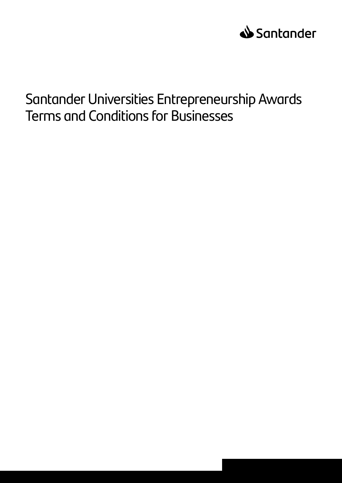

# Santander Universities Entrepreneurship Awards Terms and Conditions for Businesses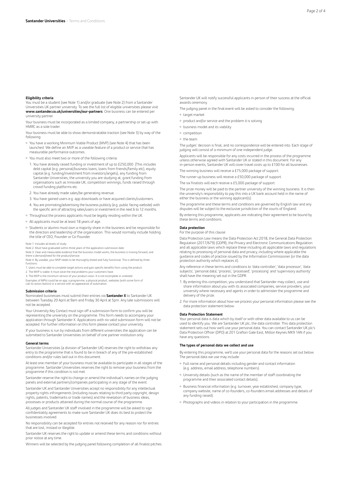## **Eligibility criteria**

You must be a student (see Note 1) and/or graduate (see Note 2) from a Santander Universities UK partner university. To see the full list of eligible universities please visit **www.santander.co.uk/universities/our-partners**. One business can be entered per university partner.

Your business must be incorporated as a limited company, a partnership or set up with HMRC as a sole trader.

Your business must be able to show demonstratable traction (see Note 3) by way of the following:

- You have a working Minimum Viable Product (MVP) (see Note 4) that has been launched. We define an MVP as a useable feature of a product or service that has measurable performance outcomes.
- You must also meet two or more of the following criteria:
- 1. You have already raised funding or investment of up to £250,000. (This includes debt capital (e.g. personal/business loans, loans from friends/family etc), equity capital (e.g. funding/investment from investors/angels), any funding from Santander Universities, the university you are studying at, grant funding from organisations such as Innovate UK, competition winnings, funds raised through crowd funding platforms etc.
- 2. You have already made sales/be generating revenue.
- 3. You have gained users e.g. app downloads or have acquired clients/customers.
- 4. You are promoting/advertising the business publicly (e.g. public facing website) with the specific aim of attracting sales/users or investment in the next 6 to 12 months. Throughout the process applicants must be legally residing within the UK.
- All applicants must be at least 18 years of age.
- 
- Students or alumni must own a majority share in the business and be responsible for the direction and leadership of the organisation. This would normally include holding the title of CEO, Founder or Co-Founder.
- Note 1: Includes all levels of study.
- Note 2: Must have graduated within three years of the application submission date.

Note 3: Clear and measurable evidence that the business model works, the business is moving forward, and there is demand/need for the product/service.

- Note 4: By useable, your MVP needs to be thoroughly tested and fully functional. This is defined by three functions:
- 1. Users must be able to complete target actions and gain specific benefits from using the product.
- 2. The MVP is viable. It must solve the real problems your customers have.

3. The MVP is the minimum version of your product vision. It is not incomplete or untested.<br>Examples of MPVs could be an app, a programme, a physical product, websites (with some form of<br>call-to-action button) or a service

# **Submission criteria**

Nominated businesses must submit their entries via **Santander X** to Santander UK between Tuesday 20 April at 9am and Friday 30 April at 5pm. Any late submissions will not be accepted.

Your University Key Contact must sign off a submission form to confirm you will be representing the university on the programme. This form needs to accompany your application through Santander X. Applications with no valid submission form will not be accepted. For further information on this form please contact your university.

If your business is run by individuals from different universities the application can be submitted to Santander Universities on behalf of one partner institution only.

## **General terms**

Santander Universities (a division of Santander UK) reserves the right to withdraw any entry to the programme that is found to be in breach of any of the pre-established conditions and/or rules laid out in this document.

At least one member of your business must be available to participate in all stages of the programme. Santander Universities reserves the right to remove your business from the programme if this condition is not met.

Santander reserve the right to change or amend the individual's names on the judging panels and external partners/companies participating in any stage of the event.

Santander UK and Santander Universities accept no responsibility for any intellectual property rights infringements (including issues relating to third party copyright, design rights, patents, trademarks or trade names) and the revelation of business ideas, processes or products attained during the normal course of the programme.

All judges and Santander UK staff involved in the programme will be asked to sign confidentiality agreements to make sure Santander UK does its best to protect the businesses involved.

No responsibility can be accepted for entries not received for any reason nor for entries that are lost, mislaid or illegible.

Santander UK reserves the right to update or amend these terms and conditions without prior notice at any time.

Winners will be selected by the judging panel following completion of all finalist pitches.

Santander UK will notify successful applicants in person of their success at the official awards ceremony.

The judging panel in the final event will be asked to consider the following:

- o target market
- product and/or service and the problem it is solving
- business model and its viability
- competition
- the team.

The judges' decision is final, and no correspondence will be entered into. Each stage of judging will consist of a minimum of one independent judge.

Applicants will be responsible for any costs incurred in the process of the programme unless otherwise agreed with Santander UK or stated in this document. For any in-person events, Santander UK will cover travel costs up to £100 for all businesses.

The winning business will receive a £75,000 package of support.

The runner up business will receive a £50,000 package of support.

The six finalists will each receive a £5,000 package of support.

The prize money will be paid to the partner university of the winning business. It is then the university's responsibility to pay this into a UK bank account held in the name of either the business or the winning applicant(s).

The programme and these terms and conditions are governed by English law and any disputes will be subject to the exclusive jurisdiction of the courts of England.

By entering this programme, applicants are indicating their agreement to be bound by these terms and conditions.

# **Data protection**

For the purpose of this clause:

Data Protection Law means the Data Protection Act 2018, the General Data Protection Regulation (2017/679) (GDPR), the Privacy and Electronic Communications Regulation and all applicable laws which replace these including all applicable laws and regulations relating to processing of personal data and privacy, including where applicable the guidance and codes of practice issued by the Information Commissioner (or the data protection authority which replaces it).

Any reference in these terms and conditions to 'data controller', 'data processor', 'data subjects', 'personal data', 'process', 'processed', 'processing' and 'supervisory authority' shall have the meaning set out in the GDPR.

- 1. By entering this competition, you understand that Santander may collect, use and share information about you with its associated companies, service providers, your university where necessary and agents in order to administer the programme and delivery of the prize.
- 2. For more information about how we process your personal information please see the data protection statement below.

#### **Data Protection Statement**

Your personal data is data which by itself or with other data available to us can be used to identify you. We are Santander UK plc, the data controller. This data protection statement sets out how we'll use your personal data. You can contact Santander UK plc's Data Protection Officer (DPO) at 201 Grafton Gate East, Milton Keynes MK9 1AN if you have any questions.

#### **The types of personal data we collect and use**

By entering this programme, we'll use your personal data for the reasons set out below. The personal data we use may include:

- Full name and personal details including gender and contact information (e.g. address, email address, telephone numbers).
- University details (such as the name of the member of staff coordinating the programme and their associated contact details).
- o Business financial information (e.g. turnover, year established, company type, company website, name of co-founders, co-founders email addresses and details of any funding raised).
- Photographs and videos in relation to your participation in the programme.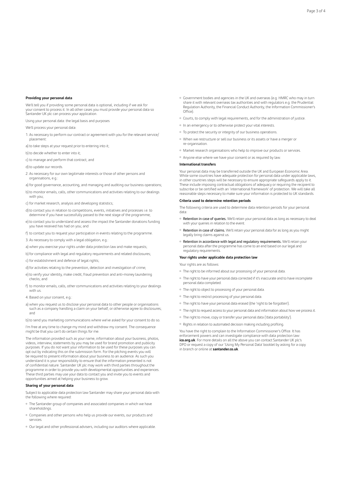# **Providing your personal data**

We'll tell you if providing some personal data is optional, including if we ask for your consent to process it. In all other cases you must provide your personal data so Santander UK plc can process your application.

Using your personal data: the legal basis and purposes

We'll process your personal data:

- 1. As necessary to perform our contract or agreement with you for the relevant service/ placement:
- a) to take steps at your request prior to entering into it;
- b) to decide whether to enter into it;
- c) to manage and perform that contract; and
- d) to update our records
- 2. As necessary for our own legitimate interests or those of other persons and organisations, e.g.:
- a) for good governance, accounting, and managing and auditing our business operations;
- b) to monitor emails, calls, other communications and activities relating to our dealings with you;
- c) for market research, analysis and developing statistics;
- d) to contact you in relation to competitions, events, initiatives and processes i.e. to determine if you have successfully passed to the next stage of the programme;
- e) to contact you to understand and assess the impact the Santander donations funding you have received has had on you; and
- f) to contact you to request your participation in events relating to the programme.
- 3. As necessary to comply with a legal obligation, e.g.:
- a) when you exercise your rights under data protection law and make requests;
- b) for compliance with legal and regulatory requirements and related disclosures;
- c) for establishment and defence of legal rights;
- d) for activities relating to the prevention, detection and investigation of crime;
- e) to verify your identity, make credit, fraud prevention and anti-money laundering checks; and
- f) to monitor emails, calls, other communications and activities relating to your dealings with us.
- 4. Based on your consent, e.g.:
- a) when you request us to disclose your personal data to other people or organisations such as a company handling a claim on your behalf, or otherwise agree to disclosures; and
- b) to send you marketing communications where we've asked for your consent to do so. I'm free at any time to change my mind and withdraw my consent. The consequence

might be that you can't do certain things for me. The information provided such as your name, information about your business, photos, videos, interview, statements by you may be used for brand promotion and publicity purposes. If you do not want your information to be used for these purposes you can opt out by indicating this on the submission form. For the pitching events you will be required to present information about your business to an audience. As such you

understand it is your responsibility to ensure that the information presented is not of confidential nature. Santander UK plc may work with third parties throughout the programme in order to provide you with developmental opportunities and experiences. These third parties may use your data to contact you and invite you to events and opportunities aimed at helping your business to grow.

# **Sharing of your personal data**

Subject to applicable data protection law Santander may share your personal data with the following where required:

- <sup>o</sup> The Santander group of companies and associated companies in which we have shareholdings.
- Companies and other persons who help us provide our events, our products and services.
- Our legal and other professional advisers, including our auditors where applicable.
- Government bodies and agencies in the UK and overseas (e.g. HMRC who may in turn share it with relevant overseas tax authorities and with regulators e.g. the Prudential Regulation Authority, the Financial Conduct Authority, the Information Commissioner's Office).
- Courts, to comply with legal requirements, and for the administration of justice.
- o In an emergency or to otherwise protect your vital interests.
- To protect the security or integrity of our business operations.
- When we restructure or sell our business or its assets or have a merger or re-organisation.
- Market research organisations who help to improve our products or services.
- Anyone else where we have your consent or as required by law.

#### **International transfers**

Your personal data may be transferred outside the UK and European Economic Area. While some countries have adequate protection for personal data under applicable laws, in other countries steps will be necessary to ensure appropriate safeguards apply to it. These include imposing contractual obligations of adequacy or requiring the recipient to subscribe or be certified with an 'international framework' of protection. We will take all reasonable steps necessary to make sure your information is protected to UK standards.

## **Criteria used to determine retention periods**

The following criteria are used to determine data retention periods for your personal data:

- o Retention in case of queries. We'll retain your personal data as long as necessary to deal with your queries in relation to the event.
- Retention in case of claims. We'll retain your personal data for as long as you might legally bring claims against us.
- o Retention in accordance with legal and regulatory requirements. We'll retain your personal data after the programme has come to an end based on our legal and regulatory requirements.

# **Your rights under applicable data protection law**

Your rights are as follows:

- o The right to be informed about our processing of your personal data
- The right to have your personal data corrected if it's inaccurate and to have incomplete personal data completed.
- The right to object to processing of your personal data.
- The right to restrict processing of your personal data.
- The right to have your personal data erased (the 'right to be forgotten').
- The right to request access to your personal data and information about how we process it.
- The right to move, copy or transfer your personal data ('data portability').
- o Rights in relation to automated decision making including profiling.

You have the right to complain to the Information Commissioner's Office. It has enforcement powers and can investigate compliance with data protection law: **ico.org.uk**. For more details on all the above you can contact Santander UK plc's DPO or request a copy of our 'Using My Personal Data' booklet by asking for a copy in branch or online at **santander.co.uk**.